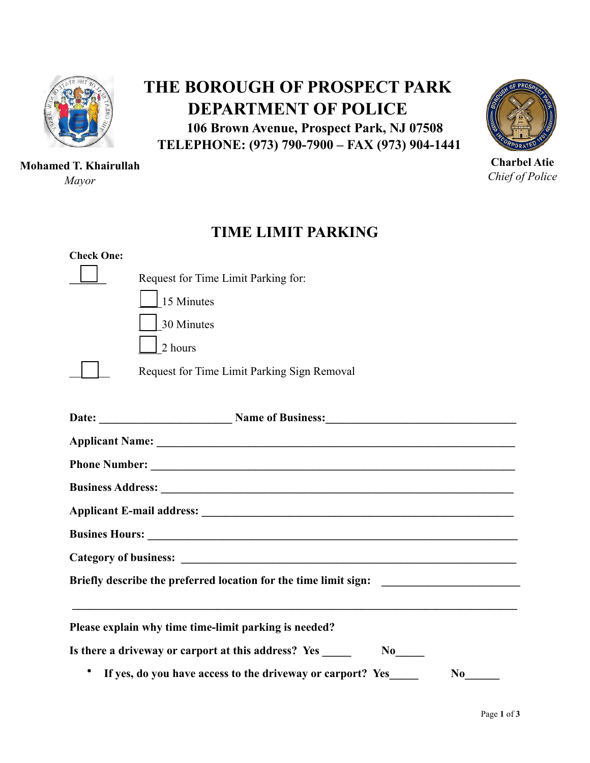

## **Mohamed T. Khairullah**

*Mayor* 

## **THE BOROUGH OF PROSPECT PARK DEPARTMENT OF POLICE 106 Brown Avenue, Prospect Park, NJ 07508**

 **TELEPHONE: (973) 790-7900 – FAX (973) 904-1441**



**Charbel Atie**  *Chief of Police* 

## **TIME LIMIT PARKING**

| <b>Check One:</b>                                                                                                                                                                                                                    |                                                                                  |  |  |  |  |
|--------------------------------------------------------------------------------------------------------------------------------------------------------------------------------------------------------------------------------------|----------------------------------------------------------------------------------|--|--|--|--|
|                                                                                                                                                                                                                                      | Request for Time Limit Parking for:                                              |  |  |  |  |
|                                                                                                                                                                                                                                      | 15 Minutes                                                                       |  |  |  |  |
|                                                                                                                                                                                                                                      | 30 Minutes                                                                       |  |  |  |  |
|                                                                                                                                                                                                                                      | 2 hours                                                                          |  |  |  |  |
|                                                                                                                                                                                                                                      | Request for Time Limit Parking Sign Removal                                      |  |  |  |  |
|                                                                                                                                                                                                                                      |                                                                                  |  |  |  |  |
|                                                                                                                                                                                                                                      |                                                                                  |  |  |  |  |
|                                                                                                                                                                                                                                      |                                                                                  |  |  |  |  |
|                                                                                                                                                                                                                                      |                                                                                  |  |  |  |  |
|                                                                                                                                                                                                                                      |                                                                                  |  |  |  |  |
| Busines Hours: <u>Designed and the set of the set of the set of the set of the set of the set of the set of the set of the set of the set of the set of the set of the set of the set of the set of the set of the set of the se</u> |                                                                                  |  |  |  |  |
|                                                                                                                                                                                                                                      |                                                                                  |  |  |  |  |
| Briefly describe the preferred location for the time limit sign:                                                                                                                                                                     |                                                                                  |  |  |  |  |
|                                                                                                                                                                                                                                      | Please explain why time time-limit parking is needed?                            |  |  |  |  |
|                                                                                                                                                                                                                                      | Is there a driveway or carport at this address? Yes ______<br>$No$ <sub>——</sub> |  |  |  |  |
| If yes, do you have access to the driveway or carport? Yes<br>$\bf{No}$                                                                                                                                                              |                                                                                  |  |  |  |  |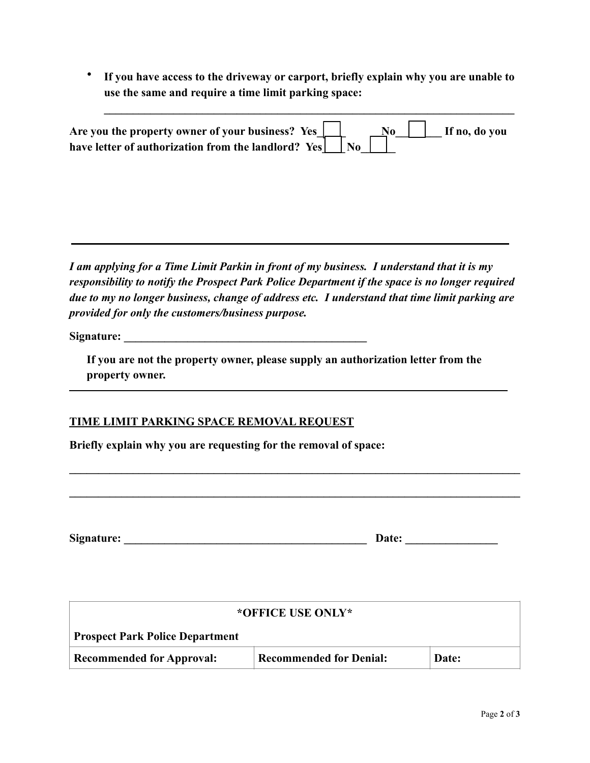• **If you have access to the driveway or carport, briefly explain why you are unable to use the same and require a time limit parking space:** 

 $\mathcal{L} = \{ \mathcal{L} = \{ \mathcal{L} \mid \mathcal{L} = \{ \mathcal{L} \mid \mathcal{L} = \{ \mathcal{L} \mid \mathcal{L} = \{ \mathcal{L} \mid \mathcal{L} = \{ \mathcal{L} \mid \mathcal{L} = \{ \mathcal{L} \mid \mathcal{L} = \{ \mathcal{L} \mid \mathcal{L} = \{ \mathcal{L} \mid \mathcal{L} = \{ \mathcal{L} \mid \mathcal{L} = \{ \mathcal{L} \mid \mathcal{L} = \{ \mathcal{L} \mid \mathcal{L} = \{ \mathcal{L} \mid \mathcal{L} =$ 

| Are you the property owner of your business? Yes $\boxed{\phantom{a}}$ $\boxed{\phantom{a}}$ $\boxed{\phantom{a}}$ $\boxed{\phantom{a}}$ If no, do you |  |  |  |
|--------------------------------------------------------------------------------------------------------------------------------------------------------|--|--|--|
| have letter of authorization from the landlord? Yes $\vert$ No                                                                                         |  |  |  |

*I am applying for a Time Limit Parkin in front of my business. I understand that it is my responsibility to notify the Prospect Park Police Department if the space is no longer required due to my no longer business, change of address etc. I understand that time limit parking are provided for only the customers/business purpose.* 

Signature: **Example 2.1 and 2.1 and 2.1 and 2.1 and 2.1 and 2.1 and 2.1 and 2.1 and 2.1 and 2.1 and 2.1 and 2.1 and 2.1 and 2.1 and 2.1 and 2.1 and 2.1 and 2.1 and 2.1 and 2.1 and 2.1 and 2.1 and 2.1 and 2.1 and 2.1 and 2.** 

**If you are not the property owner, please supply an authorization letter from the property owner.** 

**\_\_\_\_\_\_\_\_\_\_\_\_\_\_\_\_\_\_\_\_\_\_\_\_\_\_\_\_\_\_\_\_\_\_\_\_\_\_\_\_\_\_\_\_\_\_\_\_\_\_\_\_\_\_\_\_\_\_\_\_\_\_\_\_\_\_\_\_\_\_\_\_\_\_\_\_\_\_** 

**\_\_\_\_\_\_\_\_\_\_\_\_\_\_\_\_\_\_\_\_\_\_\_\_\_\_\_\_\_\_\_\_\_\_\_\_\_\_\_\_\_\_\_\_\_\_\_\_\_\_\_\_\_\_\_\_\_\_\_\_\_\_\_\_\_\_\_\_\_\_\_\_\_\_\_\_\_\_** 

## **TIME LIMIT PARKING SPACE REMOVAL REQUEST**

**Briefly explain why you are requesting for the removal of space:** 

| Signature: |  |
|------------|--|
|------------|--|

| *OFFICE USE ONLY*                      |                                |       |  |  |  |
|----------------------------------------|--------------------------------|-------|--|--|--|
| <b>Prospect Park Police Department</b> |                                |       |  |  |  |
| <b>Recommended for Approval:</b>       | <b>Recommended for Denial:</b> | Date: |  |  |  |